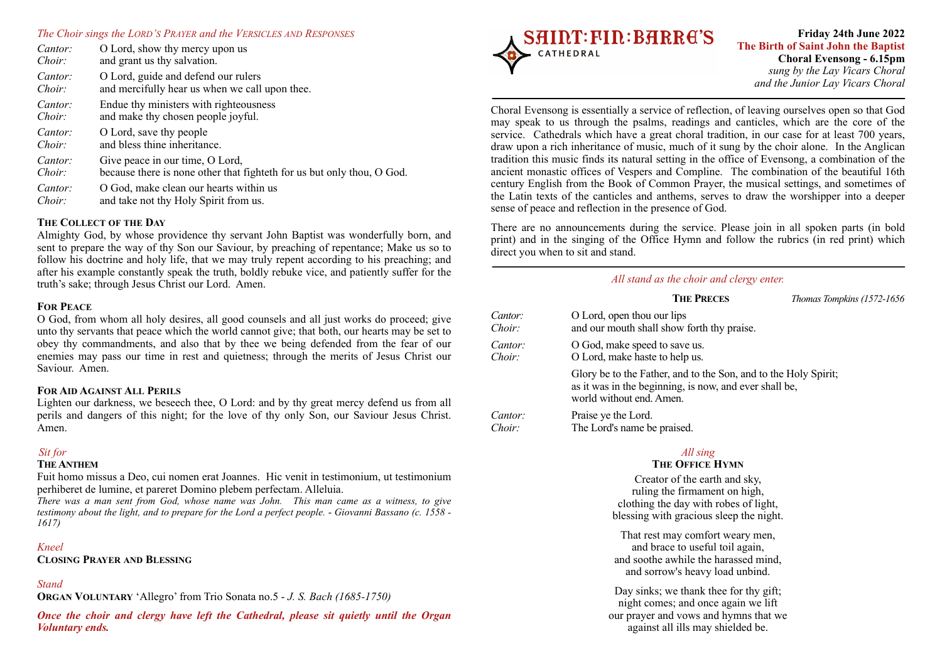#### *The Choir sings the LORD'S PRAYER and the VERSICLES AND RESPONSES*

| Cantor: | O Lord, show thy mercy upon us                                         |
|---------|------------------------------------------------------------------------|
| Choir:  | and grant us thy salvation.                                            |
| Cantor: | O Lord, guide and defend our rulers                                    |
| Choir:  | and mercifully hear us when we call upon thee.                         |
| Cantor: | Endue thy ministers with righteousness                                 |
| Choir:  | and make thy chosen people joyful.                                     |
| Cantor: | O Lord, save thy people                                                |
| Choir:  | and bless thine inheritance.                                           |
| Cantor: | Give peace in our time, O Lord,                                        |
| Choir:  | because there is none other that fighteth for us but only thou, O God. |
| Cantor: | O God, make clean our hearts within us                                 |
| Choir:  | and take not thy Holy Spirit from us.                                  |

## **THE COLLECT OF THE DAY**

Almighty God, by whose providence thy servant John Baptist was wonderfully born, and sent to prepare the way of thy Son our Saviour, by preaching of repentance; Make us so to follow his doctrine and holy life, that we may truly repent according to his preaching; and after his example constantly speak the truth, boldly rebuke vice, and patiently suffer for the truth's sake; through Jesus Christ our Lord. Amen.

## **FOR PEACE**

O God, from whom all holy desires, all good counsels and all just works do proceed; give unto thy servants that peace which the world cannot give; that both, our hearts may be set to obey thy commandments, and also that by thee we being defended from the fear of our enemies may pass our time in rest and quietness; through the merits of Jesus Christ our Saviour. Amen.

#### **FOR AID AGAINST ALL PERILS**

Lighten our darkness, we beseech thee, O Lord: and by thy great mercy defend us from all perils and dangers of this night; for the love of thy only Son, our Saviour Jesus Christ. Amen.

## *Sit for*

# **THE ANTHEM**

Fuit homo missus a Deo, cui nomen erat Joannes. Hic venit in testimonium, ut testimonium perhiberet de lumine, et pareret Domino plebem perfectam. Alleluia.

*There was a man sent from God, whose name was John. This man came as a witness, to give testimony about the light, and to prepare for the Lord a perfect people.* - *Giovanni Bassano (c. 1558 - 1617)* 

# *Kneel*

**CLOSING PRAYER AND BLESSING**

# *Stand*

**ORGAN VOLUNTARY** 'Allegro' from Trio Sonata no.5 - *J. S. Bach (1685-1750)* 

*Once the choir and clergy have left the Cathedral, please sit quietly until the Organ Voluntary ends.*



# **Friday 24th June 2022 The Birth of Saint John the Baptist Choral Evensong - 6.15pm**  *sung by the Lay Vicars Choral and the Junior Lay Vicars Choral*

Choral Evensong is essentially a service of reflection, of leaving ourselves open so that God may speak to us through the psalms, readings and canticles, which are the core of the service. Cathedrals which have a great choral tradition, in our case for at least 700 years, draw upon a rich inheritance of music, much of it sung by the choir alone. In the Anglican tradition this music finds its natural setting in the office of Evensong, a combination of the ancient monastic offices of Vespers and Compline. The combination of the beautiful 16th century English from the Book of Common Prayer, the musical settings, and sometimes of the Latin texts of the canticles and anthems, serves to draw the worshipper into a deeper sense of peace and reflection in the presence of God.

There are no announcements during the service. Please join in all spoken parts (in bold print) and in the singing of the Office Hymn and follow the rubrics (in red print) which direct you when to sit and stand.

# *All stand as the choir and clergy enter.*

|                   | <b>THE PRECES</b>                                                                                                                                     | Thomas Tompkins (1572-1656) |
|-------------------|-------------------------------------------------------------------------------------------------------------------------------------------------------|-----------------------------|
| Cantor:<br>Choir: | O Lord, open thou our lips<br>and our mouth shall show forth thy praise.                                                                              |                             |
| Cantor:<br>Choir: | O God, make speed to save us.<br>O Lord, make haste to help us.                                                                                       |                             |
|                   | Glory be to the Father, and to the Son, and to the Holy Spirit;<br>as it was in the beginning, is now, and ever shall be,<br>world without end. Amen. |                             |
| Cantor:<br>Choir: | Praise ye the Lord.<br>The Lord's name be praised.                                                                                                    |                             |

# *All sing*

# **THE OFFICE HYMN**

Creator of the earth and sky, ruling the firmament on high, clothing the day with robes of light, blessing with gracious sleep the night.

That rest may comfort weary men, and brace to useful toil again, and soothe awhile the harassed mind, and sorrow's heavy load unbind.

Day sinks; we thank thee for thy gift; night comes; and once again we lift our prayer and vows and hymns that we against all ills may shielded be.